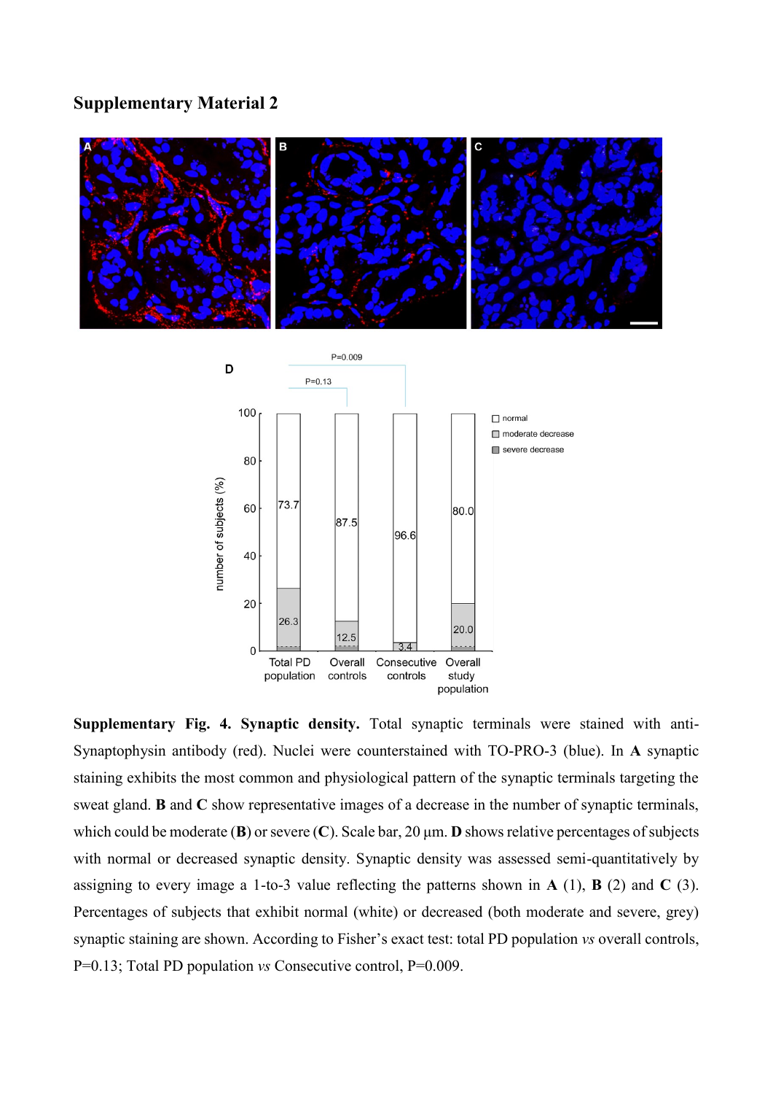## **Supplementary Material 2**



**Supplementary Fig. 4. Synaptic density.** Total synaptic terminals were stained with anti-Synaptophysin antibody (red). Nuclei were counterstained with TO-PRO-3 (blue). In **A** synaptic staining exhibits the most common and physiological pattern of the synaptic terminals targeting the sweat gland. **B** and **C** show representative images of a decrease in the number of synaptic terminals, which could be moderate (**B**) or severe (**C**). Scale bar, 20 μm. **D** shows relative percentages of subjects with normal or decreased synaptic density. Synaptic density was assessed semi-quantitatively by assigning to every image a 1-to-3 value reflecting the patterns shown in **A** (1), **B** (2) and **C** (3). Percentages of subjects that exhibit normal (white) or decreased (both moderate and severe, grey) synaptic staining are shown. According to Fisher's exact test: total PD population *vs* overall controls, P=0.13; Total PD population *vs* Consecutive control, P=0.009.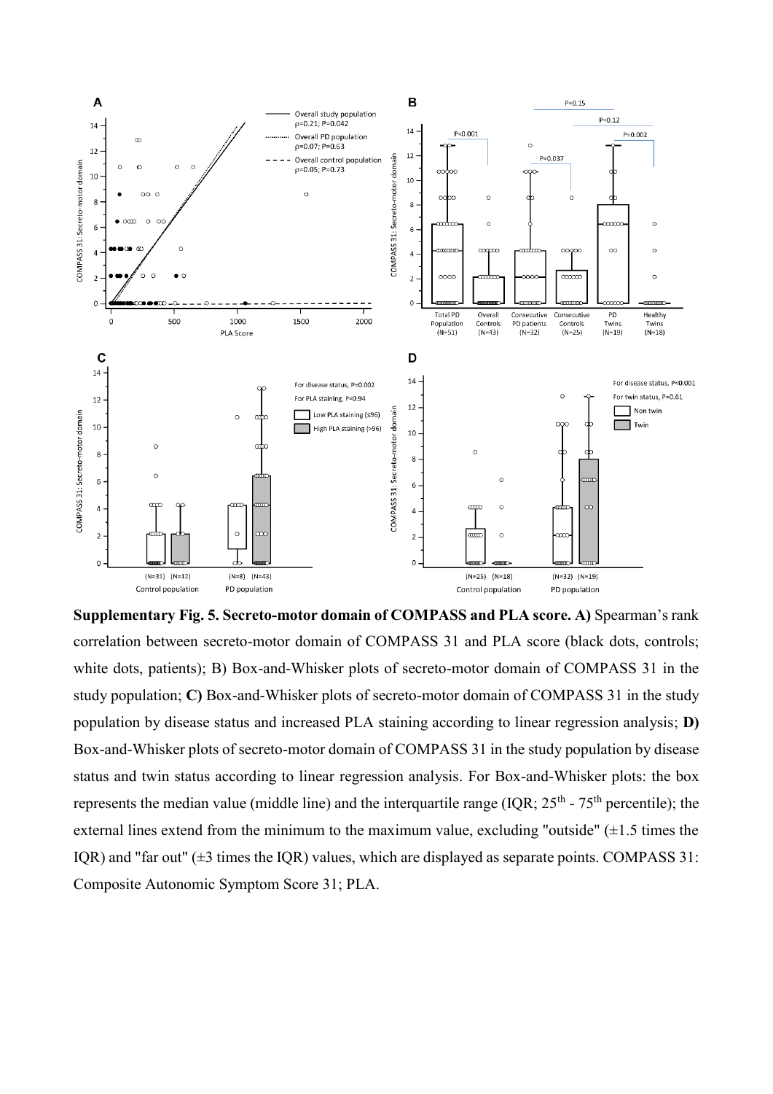

**Supplementary Fig. 5. Secreto-motor domain of COMPASS and PLA score. A)** Spearman's rank correlation between secreto-motor domain of COMPASS 31 and PLA score (black dots, controls; white dots, patients); B) Box-and-Whisker plots of secreto-motor domain of COMPASS 31 in the study population; **C)** Box-and-Whisker plots of secreto-motor domain of COMPASS 31 in the study population by disease status and increased PLA staining according to linear regression analysis; **D)** Box-and-Whisker plots of secreto-motor domain of COMPASS 31 in the study population by disease status and twin status according to linear regression analysis. For Box-and-Whisker plots: the box represents the median value (middle line) and the interquartile range (IQR;  $25<sup>th</sup>$  -  $75<sup>th</sup>$  percentile); the external lines extend from the minimum to the maximum value, excluding "outside"  $(\pm 1.5 \text{ times the})$ IQR) and "far out"  $(\pm 3 \text{ times the IQR})$  values, which are displayed as separate points. COMPASS 31: Composite Autonomic Symptom Score 31; PLA.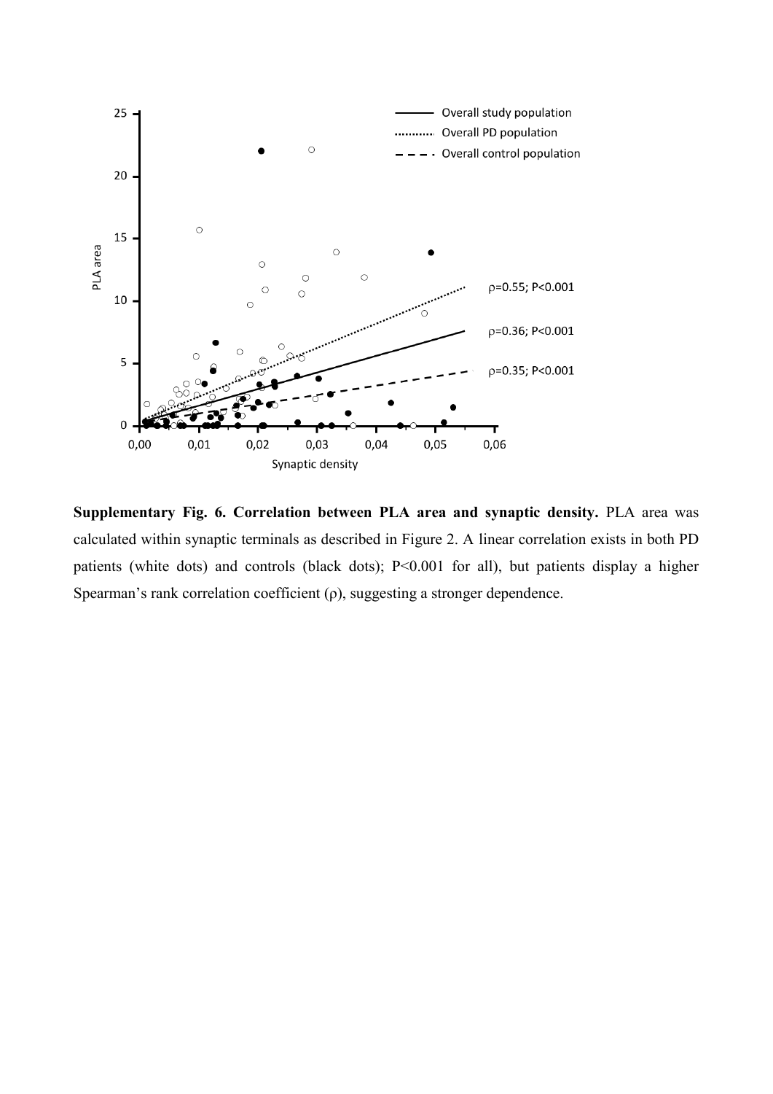

**Supplementary Fig. 6. Correlation between PLA area and synaptic density.** PLA area was calculated within synaptic terminals as described in Figure 2. A linear correlation exists in both PD patients (white dots) and controls (black dots); P<0.001 for all), but patients display a higher Spearman's rank correlation coefficient  $(\rho)$ , suggesting a stronger dependence.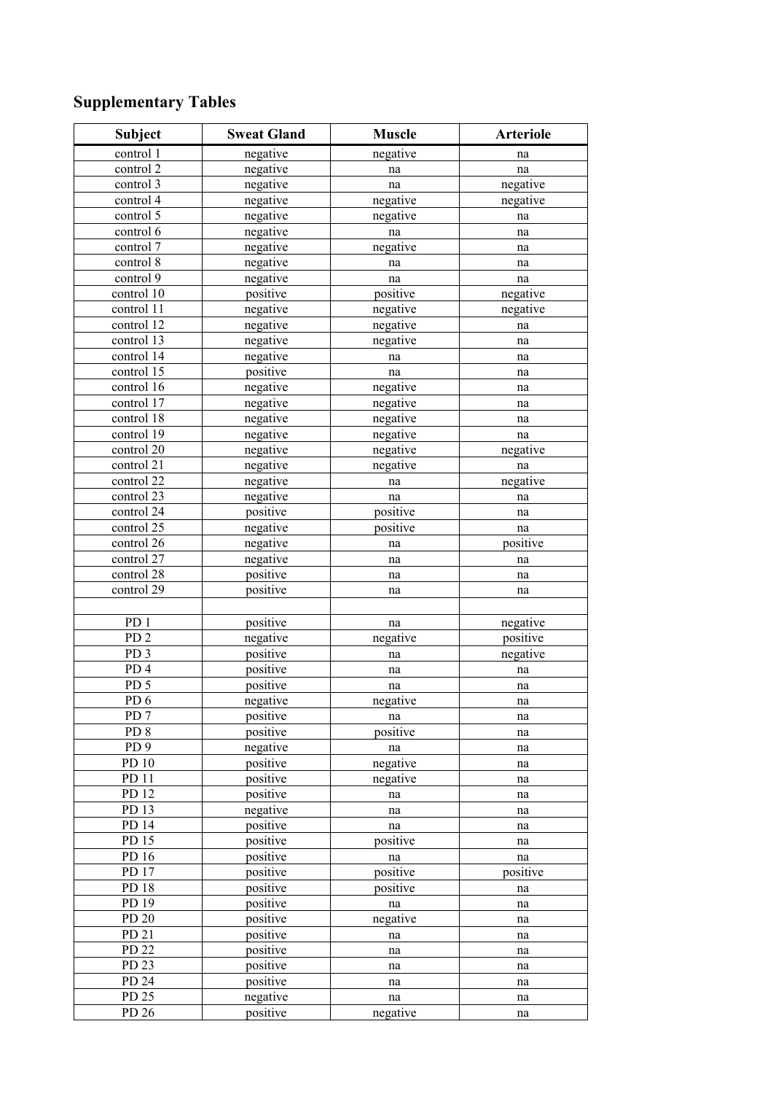## **Supplementary Tables**

| Subject          | <b>Sweat Gland</b> | <b>Muscle</b>       | <b>Arteriole</b> |  |
|------------------|--------------------|---------------------|------------------|--|
| control 1        | negative           | negative            | na               |  |
| control 2        | negative           | na                  | na               |  |
| control 3        | negative           | na                  | negative         |  |
| control 4        | negative           | negative            | negative         |  |
| control 5        | negative           | negative            | na               |  |
| control 6        | negative           | $\operatorname{na}$ | na               |  |
| control 7        | negative           | negative            | na               |  |
| control 8        | negative           | na                  | na               |  |
| control 9        | negative           | $\operatorname{na}$ | na               |  |
| control 10       | positive           | positive            | negative         |  |
| control 11       | negative           | negative            | negative         |  |
| control 12       | negative           | negative            | na               |  |
| control 13       | negative           | negative            | na               |  |
| control 14       | negative           | na                  | na               |  |
| control 15       | positive           | na                  | na               |  |
| control 16       | negative           | negative            | na               |  |
| control 17       | negative           | negative            | na               |  |
| control 18       | negative           | negative            | na               |  |
| control 19       | negative           | negative            | na               |  |
| control 20       | negative           | negative            | negative         |  |
| control 21       | negative           | negative            | na               |  |
| control 22       | negative           | na                  | negative         |  |
| control 23       | negative           | $\operatorname{na}$ | na               |  |
| control 24       | positive           | positive            | na               |  |
| control 25       | negative           | positive            | na               |  |
| control 26       | negative           | na                  | positive         |  |
| control 27       | negative           | na                  | na               |  |
| control 28       | positive           | na                  | na               |  |
| control 29       | positive           | na                  | na               |  |
|                  |                    |                     |                  |  |
| PD <sub>1</sub>  | positive           | na                  | negative         |  |
| PD <sub>2</sub>  | negative           | negative            | positive         |  |
| $PD\overline{3}$ | positive           | na                  | negative         |  |
| PD <sub>4</sub>  | positive           | na                  | na               |  |
| PD <sub>5</sub>  | positive           | na                  | na               |  |
| PD6              | negative           | negative            | na               |  |
| PD <sub>7</sub>  | positive           | na                  | na               |  |
| PD <sub>8</sub>  | positive           | positive            | na               |  |
| $PD\overline{9}$ | negative           | na                  | na               |  |
| PD 10            | positive           | negative            | na               |  |
| PD 11            | positive           | negative            | na               |  |
| PD 12            | positive           | na                  | na               |  |
| PD 13            | negative           | na                  | na               |  |
| PD 14            | positive           | na                  | na               |  |
| $PD$ 15          | positive           | positive            | na               |  |
| PD $16$          | positive           | na                  | na               |  |
| PD 17            | positive           | positive            | positive         |  |
| PD <sub>18</sub> | positive           | positive            | na               |  |
| PD 19            | positive           | na                  | na               |  |
| PD 20            | positive           | negative            | na               |  |
| PD 21            | positive           | na                  | na               |  |
| PD 22            | positive           | na                  | na               |  |
| PD 23            | positive           | na                  | na               |  |
| PD 24            | positive           | na                  | na               |  |
| PD 25            | negative           | na                  | na               |  |
| PD 26            | positive           | negative            | na               |  |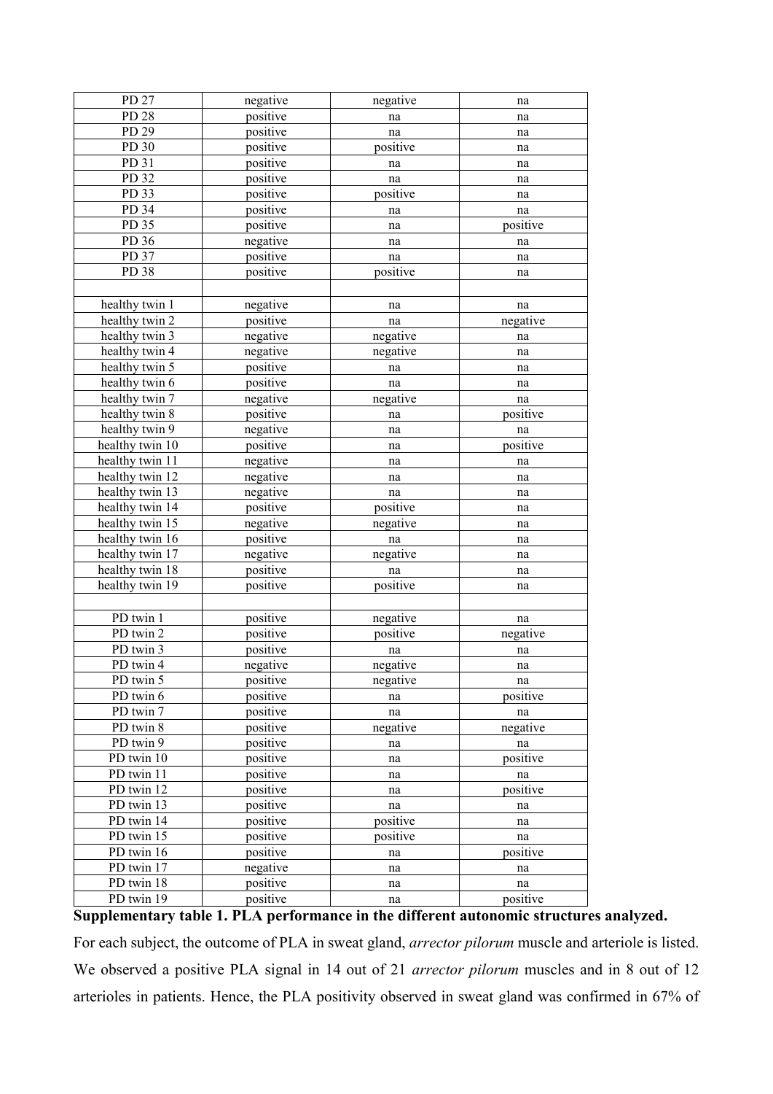| PD 27           | negative | negative | na       |  |
|-----------------|----------|----------|----------|--|
| PD 28           | positive | na       | na       |  |
| PD 29           | positive | na       | na       |  |
| PD 30           | positive | positive | na       |  |
| PD 31           | positive | na       | na       |  |
| PD 32           | positive | na       | na       |  |
| PD 33           | positive | positive | na       |  |
| PD 34           | positive | na       | na       |  |
| PD 35           | positive | na       | positive |  |
| PD 36           | negative | na       | na       |  |
| PD 37           | positive | na       | na       |  |
| PD 38           | positive | positive | na       |  |
|                 |          |          |          |  |
| healthy twin 1  | negative | na       | na       |  |
| healthy twin 2  | positive | na       | negative |  |
| healthy twin 3  | negative | negative | na       |  |
| healthy twin 4  | negative | negative | na       |  |
| healthy twin 5  | positive | na       | na       |  |
| healthy twin 6  | positive | na       | na       |  |
| healthy twin 7  | negative | negative | na       |  |
| healthy twin 8  | positive | na       | positive |  |
| healthy twin 9  | negative | na       | na       |  |
| healthy twin 10 | positive | na       | positive |  |
| healthy twin 11 | negative | na       | na       |  |
| healthy twin 12 | negative | na       | na       |  |
| healthy twin 13 | negative | na       | na       |  |
| healthy twin 14 | positive | positive | na       |  |
| healthy twin 15 | negative | negative | na       |  |
| healthy twin 16 | positive | na       | na       |  |
| healthy twin 17 | negative | negative | na       |  |
| healthy twin 18 | positive | na       | na       |  |
| healthy twin 19 | positive | positive | na       |  |
|                 |          |          |          |  |
| PD twin 1       | positive | negative | na       |  |
| PD twin 2       | positive | positive | negative |  |
| PD twin 3       | positive | na       | na       |  |
| PD twin 4       | negative | negative | na       |  |
| PD twin 5       | positive | negative | na       |  |
| PD twin 6       | positive | na       | positive |  |
| PD twin 7       | positive | na       | na       |  |
| PD twin 8       | positive | negative | negative |  |
| PD twin 9       | positive | na       | na       |  |
| PD twin 10      | positive | na       | positive |  |
| PD twin 11      | positive | na       | na       |  |
| PD twin 12      | positive | na       | positive |  |
| PD twin 13      | positive | na       | na       |  |
| PD twin 14      | positive | positive | na       |  |
| PD twin 15      | positive | positive | na       |  |
| PD twin 16      | positive | na       | positive |  |
| PD twin 17      | negative | na<br>na |          |  |
| PD twin 18      | positive | na       | na       |  |
| PD twin 19      | positive | na       | positive |  |

## **Supplementary table 1. PLA performance in the different autonomic structures analyzed.**

For each subject, the outcome of PLA in sweat gland, *arrector pilorum* muscle and arteriole is listed. We observed a positive PLA signal in 14 out of 21 *arrector pilorum* muscles and in 8 out of 12 arterioles in patients. Hence, the PLA positivity observed in sweat gland was confirmed in 67% of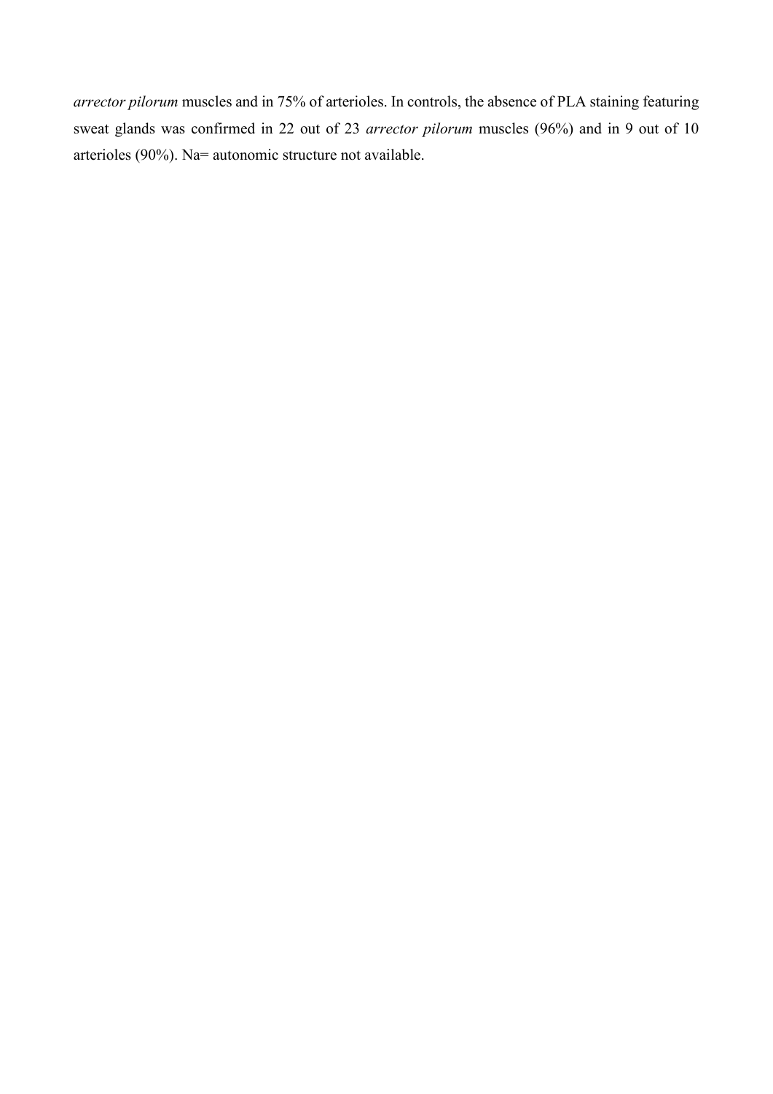*arrector pilorum* muscles and in 75% of arterioles. In controls, the absence of PLA staining featuring sweat glands was confirmed in 22 out of 23 *arrector pilorum* muscles (96%) and in 9 out of 10 arterioles (90%). Na= autonomic structure not available.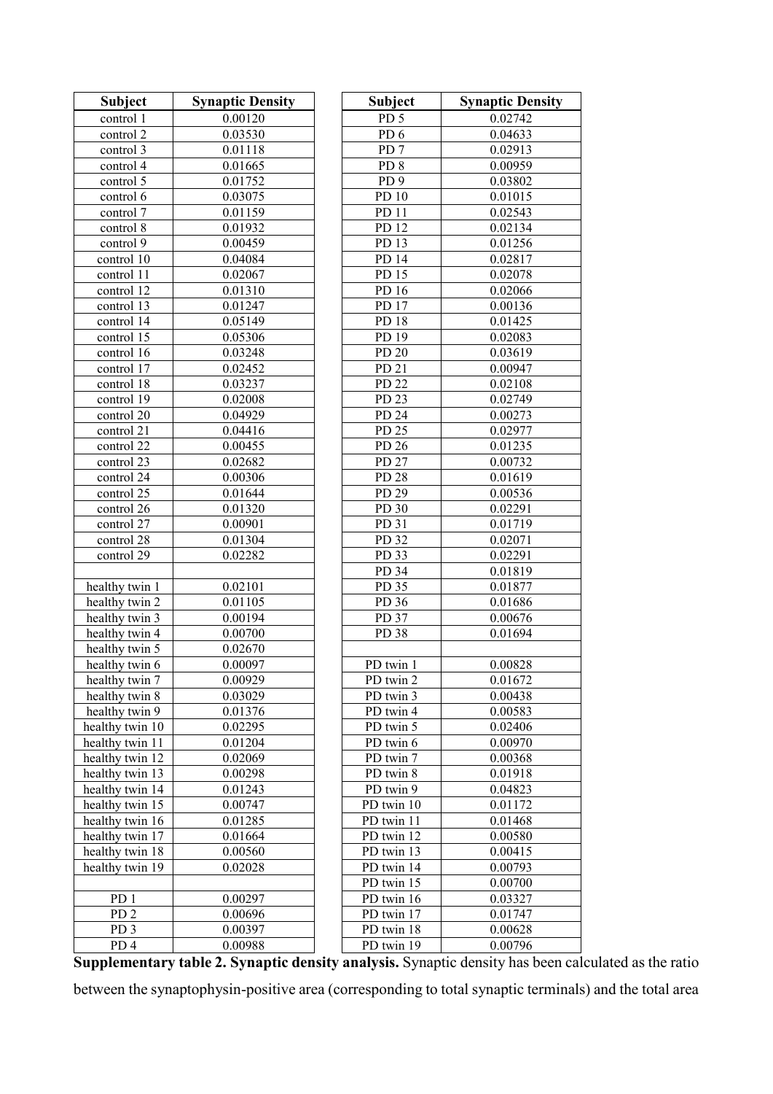| <b>Subject</b>                     | <b>Synaptic Density</b> | <b>Subject</b>           | <b>Synaptic Density</b> |
|------------------------------------|-------------------------|--------------------------|-------------------------|
| control 1                          | 0.00120                 | PD <sub>5</sub>          | 0.02742                 |
| control 2                          | 0.03530                 | PD <sub>6</sub>          | 0.04633                 |
| control 3                          | 0.01118                 | PD <sub>7</sub>          | 0.02913                 |
| control 4                          | 0.01665                 | PD <sub>8</sub>          | 0.00959                 |
| control 5                          | 0.01752                 | PD <sub>9</sub>          | 0.03802                 |
| control 6                          | 0.03075                 | PD 10                    | 0.01015                 |
| control 7                          | 0.01159                 | PD 11                    | 0.02543                 |
| control 8                          | 0.01932                 | PD 12                    | 0.02134                 |
| control 9                          | 0.00459                 | PD 13                    | 0.01256                 |
| control 10                         | 0.04084                 | PD 14                    | 0.02817                 |
| control 11                         | 0.02067                 | PD 15                    | 0.02078                 |
| control 12                         | 0.01310                 | PD 16                    | 0.02066                 |
| control 13                         | 0.01247                 | PD 17                    | 0.00136                 |
| control 14                         | 0.05149                 | PD 18                    | 0.01425                 |
| control 15                         | 0.05306                 | PD 19                    | 0.02083                 |
| control 16                         | 0.03248                 | PD 20                    | 0.03619                 |
| control 17                         | 0.02452                 | PD 21                    | 0.00947                 |
| control 18                         | 0.03237                 | PD 22                    | 0.02108                 |
| control 19                         | 0.02008                 | PD 23                    | 0.02749                 |
| control 20                         | 0.04929                 | PD 24                    | 0.00273                 |
| control 21                         | 0.04416                 | PD 25                    | 0.02977                 |
| control 22                         | 0.00455                 | PD 26                    | 0.01235                 |
| control 23                         | 0.02682                 | PD 27                    | 0.00732                 |
| control 24                         | 0.00306                 | PD 28                    | 0.01619                 |
| control 25                         | 0.01644                 | PD 29                    | 0.00536                 |
| control 26                         | 0.01320                 | PD 30                    | 0.02291                 |
| control 27                         | 0.00901<br>0.01304      | PD 31<br>PD 32           | 0.01719                 |
| control 28<br>control 29           | 0.02282                 | PD 33                    | 0.02071<br>0.02291      |
|                                    |                         | PD 34                    | 0.01819                 |
| healthy twin 1                     | 0.02101                 | PD 35                    | 0.01877                 |
| healthy twin 2                     | 0.01105                 | PD 36                    | 0.01686                 |
| healthy twin 3                     | 0.00194                 | PD 37                    | 0.00676                 |
| healthy twin 4                     | 0.00700                 | PD 38                    | 0.01694                 |
| healthy twin 5                     | 0.02670                 |                          |                         |
| healthy twin 6                     | 0.00097                 | PD twin 1                | 0.00828                 |
| healthy twin 7                     | 0.00929                 | PD twin 2                | 0.01672                 |
| healthy twin 8                     | 0.03029                 | PD twin 3                | 0.00438                 |
| healthy twin 9                     | 0.01376                 | PD twin 4                | 0.00583                 |
| healthy twin 10                    | 0.02295                 | PD twin 5                | 0.02406                 |
| healthy twin 11                    | 0.01204                 | PD twin 6                | 0.00970                 |
| healthy twin 12                    | 0.02069                 | PD twin 7                | 0.00368                 |
| healthy twin 13                    | 0.00298                 | PD twin 8                | 0.01918                 |
| healthy twin 14                    | 0.01243                 | PD twin 9                | 0.04823                 |
| healthy twin 15<br>healthy twin 16 | 0.00747<br>0.01285      | PD twin 10<br>PD twin 11 | 0.01172<br>0.01468      |
| healthy twin 17                    | 0.01664                 | PD twin 12               | 0.00580                 |
| healthy twin 18                    | 0.00560                 | PD twin 13               | 0.00415                 |
| healthy twin 19                    | 0.02028                 | PD twin 14               | 0.00793                 |
|                                    |                         | PD twin 15               | 0.00700                 |
| PD <sub>1</sub>                    | 0.00297                 | PD twin 16               | 0.03327                 |
| PD <sub>2</sub>                    | 0.00696                 | PD twin 17               | 0.01747                 |
| PD <sub>3</sub>                    | 0.00397                 | PD twin 18               | 0.00628                 |
| PD <sub>4</sub>                    | 0.00988                 | PD twin 19               | 0.00796                 |

**Supplementary table 2. Synaptic density analysis.** Synaptic density has been calculated as the ratio

between the synaptophysin-positive area (corresponding to total synaptic terminals) and the total area